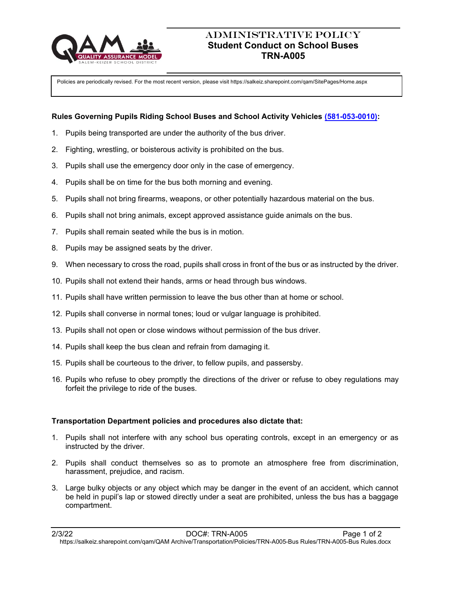

# ADMINISTRATIVE POLICY **Student Conduct on School Buses TRN-A005**

Policies are periodically revised. For the most recent version, please visit https://salkeiz.sharepoint.com/qam/SitePages/Home.aspx

### **Rules Governing Pupils Riding School Buses and School Activity Vehicles [\(581-053-0010\):](https://secure.sos.state.or.us/oard/viewSingleRule.action?ruleVrsnRsn=147064)**

- 1. Pupils being transported are under the authority of the bus driver.
- 2. Fighting, wrestling, or boisterous activity is prohibited on the bus.
- 3. Pupils shall use the emergency door only in the case of emergency.
- 4. Pupils shall be on time for the bus both morning and evening.
- 5. Pupils shall not bring firearms, weapons, or other potentially hazardous material on the bus.
- 6. Pupils shall not bring animals, except approved assistance guide animals on the bus.
- 7. Pupils shall remain seated while the bus is in motion.
- 8. Pupils may be assigned seats by the driver.
- 9. When necessary to cross the road, pupils shall cross in front of the bus or as instructed by the driver.
- 10. Pupils shall not extend their hands, arms or head through bus windows.
- 11. Pupils shall have written permission to leave the bus other than at home or school.
- 12. Pupils shall converse in normal tones; loud or vulgar language is prohibited.
- 13. Pupils shall not open or close windows without permission of the bus driver.
- 14. Pupils shall keep the bus clean and refrain from damaging it.
- 15. Pupils shall be courteous to the driver, to fellow pupils, and passersby.
- 16. Pupils who refuse to obey promptly the directions of the driver or refuse to obey regulations may forfeit the privilege to ride of the buses.

#### **Transportation Department policies and procedures also dictate that:**

- 1. Pupils shall not interfere with any school bus operating controls, except in an emergency or as instructed by the driver.
- 2. Pupils shall conduct themselves so as to promote an atmosphere free from discrimination, harassment, prejudice, and racism.
- 3. Large bulky objects or any object which may be danger in the event of an accident, which cannot be held in pupil's lap or stowed directly under a seat are prohibited, unless the bus has a baggage compartment.